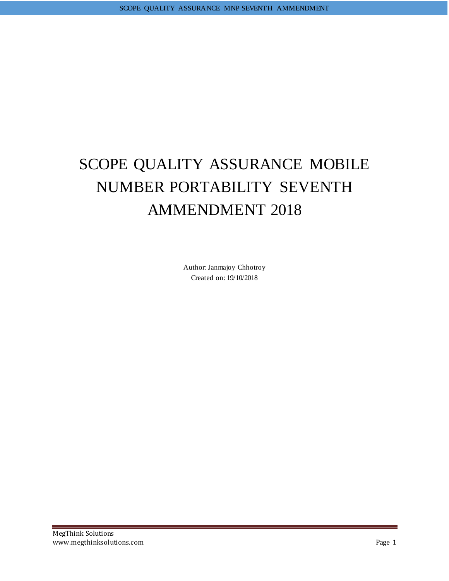# SCOPE QUALITY ASSURANCE MOBILE NUMBER PORTABILITY SEVENTH AMMENDMENT 2018

Author:Janmajoy Chhotroy Created on: 19/10/2018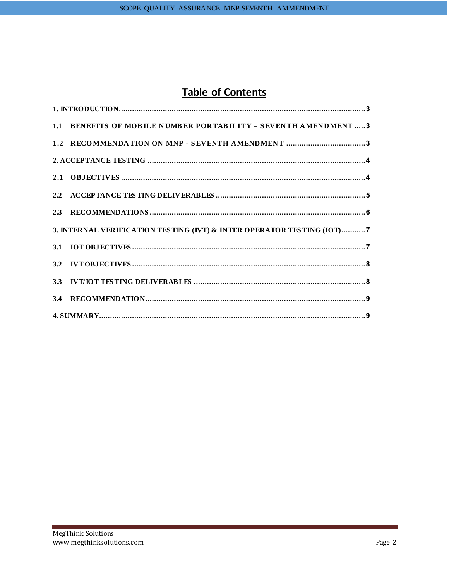# **Table of Contents**

| 1.1 BENEFITS OF MOBILE NUMBER PORTABILITY - SEVENTH AMENDMENT  3       |
|------------------------------------------------------------------------|
| 1.2 RECOMMENDATION ON MNP - SEVENTH AMENDMENT 3                        |
|                                                                        |
|                                                                        |
|                                                                        |
|                                                                        |
| 3. INTERNAL VERIFICATION TESTING (IVT) & INTER OPERATOR TESTING (IOT)7 |
|                                                                        |
|                                                                        |
|                                                                        |
|                                                                        |
|                                                                        |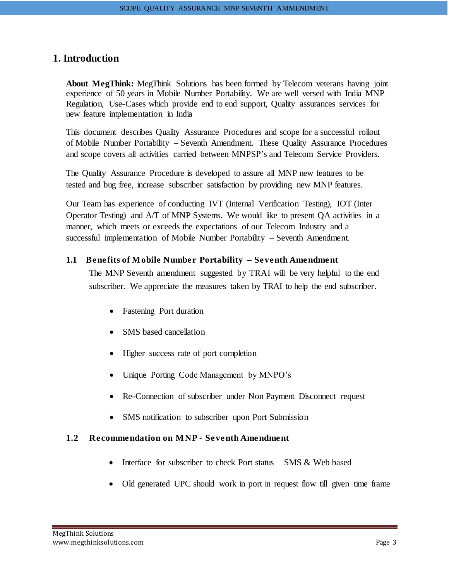# <span id="page-2-0"></span>**1. Introduction**

**About MegThink:** MegThink Solutions has been formed by Telecom veterans having joint experience of 50 years in Mobile Number Portability. We are well versed with India MNP Regulation, Use-Cases which provide end to end support, Quality assurances services for new feature implementation in India

This document describes Quality Assurance Procedures and scope for a successful rollout of Mobile Number Portability – Seventh Amendment. These Quality Assurance Procedures and scope covers all activities carried between MNPSP's and Telecom Service Providers.

The Quality Assurance Procedure is developed to assure all MNP new features to be tested and bug free, increase subscriber satisfaction by providing new MNP features.

Our Team has experience of conducting IVT (Internal Verification Testing), IOT (Inter Operator Testing) and A/T of MNP Systems. We would like to present QA activities in a manner, which meets or exceeds the expectations of our Telecom Industry and a successful implementation of Mobile Number Portability – Seventh Amendment.

#### <span id="page-2-1"></span>**1.1 Benefits of Mobile Number Portability – Seventh Amendment**

The MNP Seventh amendment suggested by TRAI will be very helpful to the end subscriber. We appreciate the measures taken by TRAI to help the end subscriber.

- Fastening Port duration
- SMS based cancellation
- Higher success rate of port completion
- Unique Porting Code Management by MNPO's
- Re-Connection of subscriber under Non Payment Disconnect request
- SMS notification to subscriber upon Port Submission

#### <span id="page-2-2"></span>**1.2 Recommendation on MNP - Seventh Amendment**

- Interface for subscriber to check Port status SMS & Web based
- Old generated UPC should work in port in request flow till given time frame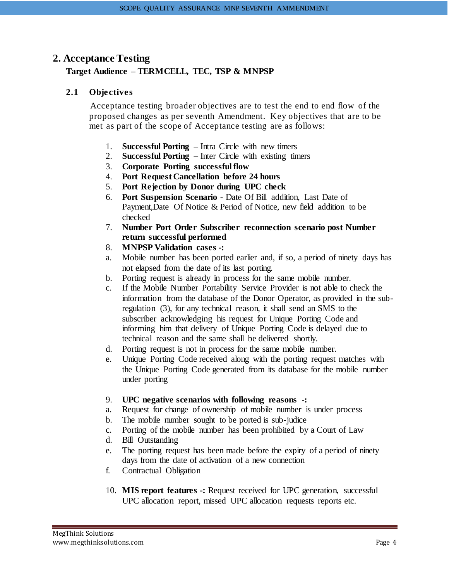### <span id="page-3-0"></span>**2. Acceptance Testing**

#### <span id="page-3-1"></span>**Target Audience – TERMCELL, TEC, TSP & MNPSP**

#### **2.1 Objectives**

Acceptance testing broader objectives are to test the end to end flow of the proposed changes as per seventh Amendment. Key objectives that are to be met as part of the scope of Acceptance testing are as follows:

- 1. **Successful Porting –** Intra Circle with new timers
- 2. **Successful Porting –** Inter Circle with existing timers
- 3. **Corporate Porting successful flow**
- 4. **Port Request Cancellation before 24 hours**
- 5. **Port Rejection by Donor during UPC check**
- 6. **Port Suspension Scenario -** Date Of Bill addition, Last Date of Payment,Date Of Notice & Period of Notice, new field addition to be checked
- 7. **Number Port Order Subscriber reconnection scenario post Number return successful performed**
- 8. **MNPSP Validation cases -:**
- a. Mobile number has been ported earlier and, if so, a period of ninety days has not elapsed from the date of its last porting.
- b. Porting request is already in process for the same mobile number.
- c. If the Mobile Number Portability Service Provider is not able to check the information from the database of the Donor Operator, as provided in the subregulation (3), for any technical reason, it shall send an SMS to the subscriber acknowledging his request for Unique Porting Code and informing him that delivery of Unique Porting Code is delayed due to technical reason and the same shall be delivered shortly.
- d. Porting request is not in process for the same mobile number.
- e. Unique Porting Code received along with the porting request matches with the Unique Porting Code generated from its database for the mobile number under porting
- 9. **UPC negative scenarios with following reasons -:**
- a. Request for change of ownership of mobile number is under process
- b. The mobile number sought to be ported is sub-judice
- c. Porting of the mobile number has been prohibited by a Court of Law
- d. Bill Outstanding
- e. The porting request has been made before the expiry of a period of ninety days from the date of activation of a new connection
- f. Contractual Obligation
- 10. **MIS report features -:** Request received for UPC generation, successful UPC allocation report, missed UPC allocation requests reports etc.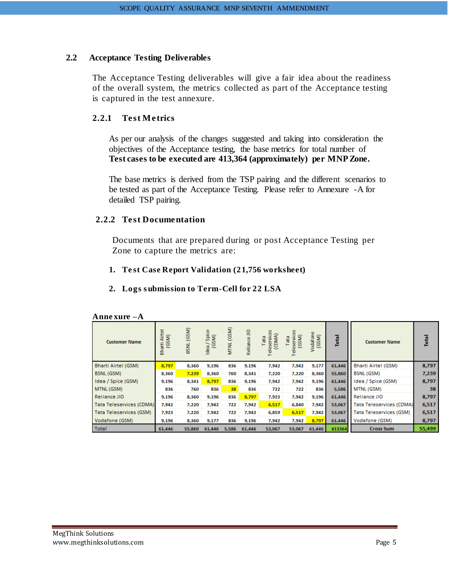#### <span id="page-4-0"></span>**2.2 Acceptance Testing Deliverables**

The Acceptance Testing deliverables will give a fair idea about the readiness of the overall system, the metrics collected as part of the Acceptance testing is captured in the test annexure.

#### **2.2.1 Test Metrics**

As per our analysis of the changes suggested and taking into consideration the objectives of the Acceptance testing, the base metrics for total number of **Test cases to be executed are 413,364 (approximately) per MNP Zone.**

The base metrics is derived from the TSP pairing and the different scenarios to be tested as part of the Acceptance Testing. Please refer to Annexure -A for detailed TSP pairing.

#### **2.2.2 Test Documentation**

Documents that are prepared during or post Acceptance Testing per Zone to capture the metrics are:

#### **1. Te st Case Report Validation (21,756 worksheet)**

#### **2. Logs s ubmission to Term-Cell for 22 LSA**

| Аппехиге —А                |                           |            |                          |            |              |                                  |                               |                   |        |                                 |        |
|----------------------------|---------------------------|------------|--------------------------|------------|--------------|----------------------------------|-------------------------------|-------------------|--------|---------------------------------|--------|
| <b>Customer Name</b>       | Airtel<br>(GSM)<br>Bharti | BSNL (GSM) | a/Spice<br>(GSM)<br>Idea | MTNL (GSM) | Reliance JIO | eservices<br>(CDMA)<br>Tata<br>ō | Teleservices<br>(GSM)<br>Tata | Vodafone<br>(GSM) | Total  | <b>Customer Name</b>            | Total  |
| <b>Bharti Airtel (GSM)</b> | 8,797                     | 8,360      | 9,196                    | 836        | 9,196        | 7,942                            | 7,942                         | 9,177             | 61,446 | <b>Bharti Airtel (GSM)</b>      | 8,797  |
| BSNL (GSM)                 | 8,360                     | 7,239      | 8,360                    | 760        | 8,341        | 7,220                            | 7,220                         | 8,360             | 55,860 | <b>BSNL (GSM)</b>               | 7,239  |
| Idea / Spice (GSM)         | 9,196                     | 8,341      | 8,797                    | 836        | 9,196        | 7,942                            | 7,942                         | 9,196             | 61,446 | Idea / Spice (GSM)              | 8,797  |
| MTNL (GSM)                 | 836                       | 760        | 836                      | 38         | 836          | 722                              | 722                           | 836               | 5,586  | MTNL (GSM)                      | 38     |
| Reliance JIO               | 9,196                     | 8,360      | 9,196                    | 836        | 8,797        | 7,923                            | 7,942                         | 9,196             | 61,446 | Reliance JIO                    | 8,797  |
| Tata Teleservices (CDMA)   | 7,942                     | 7,220      | 7,942                    | 722        | 7,942        | 6,517                            | 6,840                         | 7,942             | 53,067 | <b>Tata Teleservices (CDMA)</b> | 6,517  |
| Tata Teleservices (GSM)    | 7,923                     | 7,220      | 7,942                    | 722        | 7,942        | 6,859                            | 6,517                         | 7,942             | 53,067 | <b>Tata Teleservices (GSM)</b>  | 6,517  |
| Vodafone (GSM)             | 9,196                     | 8,360      | 9,177                    | 836        | 9,196        | 7.942                            | 7,942                         | 8,797             | 61,446 | Vodafone (GSM)                  | 8,797  |
| Total                      | 61,446                    | 55,860     | 61,446                   | 5,586      | 61,446       | 53,067                           | 53,067                        | 61,446            | 413364 | <b>Cross Sum</b>                | 55,499 |

| <b>Anne xure</b> |  |
|------------------|--|
|------------------|--|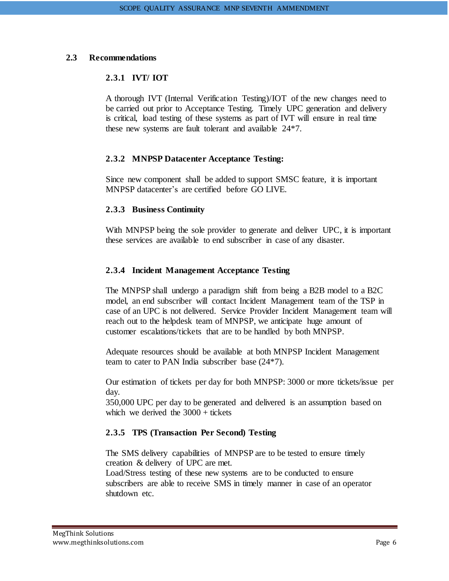#### <span id="page-5-0"></span>**2.3 Recommendations**

#### **2.3.1 IVT/ IOT**

A thorough IVT (Internal Verification Testing)/IOT of the new changes need to be carried out prior to Acceptance Testing. Timely UPC generation and delivery is critical, load testing of these systems as part of IVT will ensure in real time these new systems are fault tolerant and available 24\*7.

#### **2.3.2 MNPSP Datacenter Acceptance Testing:**

Since new component shall be added to support SMSC feature, it is important MNPSP datacenter's are certified before GO LIVE.

#### **2.3.3 Business Continuity**

With MNPSP being the sole provider to generate and deliver UPC, it is important these services are available to end subscriber in case of any disaster.

#### **2.3.4 Incident Management Acceptance Testing**

The MNPSP shall undergo a paradigm shift from being a B2B model to a B2C model, an end subscriber will contact Incident Management team of the TSP in case of an UPC is not delivered. Service Provider Incident Management team will reach out to the helpdesk team of MNPSP, we anticipate huge amount of customer escalations/tickets that are to be handled by both MNPSP.

Adequate resources should be available at both MNPSP Incident Management team to cater to PAN India subscriber base (24\*7).

Our estimation of tickets per day for both MNPSP: 3000 or more tickets/issue per day.

350,000 UPC per day to be generated and delivered is an assumption based on which we derived the  $3000 +$  tickets

#### **2.3.5 TPS (Transaction Per Second) Testing**

The SMS delivery capabilities of MNPSP are to be tested to ensure timely creation & delivery of UPC are met.

Load/Stress testing of these new systems are to be conducted to ensure subscribers are able to receive SMS in timely manner in case of an operator shutdown etc.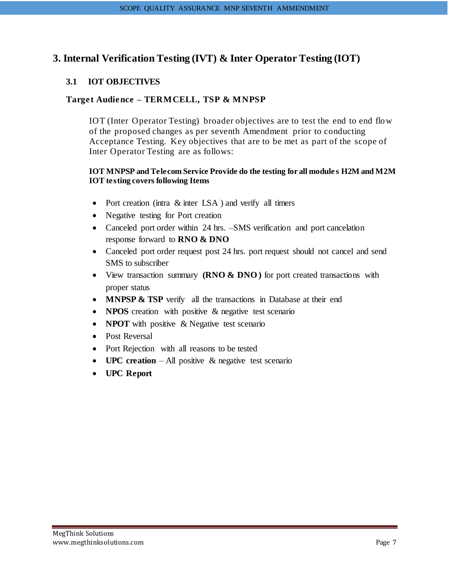# <span id="page-6-0"></span>**3. Internal Verification Testing (IVT) & Inter Operator Testing (IOT)**

#### <span id="page-6-1"></span>**3.1 IOT OBJECTIVES**

#### **Target Audience – TERMCELL, TSP & MNPSP**

IOT (Inter Operator Testing) broader objectives are to test the end to end flow of the proposed changes as per seventh Amendment prior to conducting Acceptance Testing. Key objectives that are to be met as part of the scope of Inter Operator Testing are as follows:

#### **IOT MNPSP and Telecom Service Provide do the testing for all module s H2M and M2M IOT testing covers following Items**

- Port creation (intra & inter LSA) and verify all timers
- Negative testing for Port creation
- Canceled port order within 24 hrs. –SMS verification and port cancelation response forward to **RNO & DNO**
- Canceled port order request post 24 hrs. port request should not cancel and send SMS to subscriber
- View transaction summary **(RNO & DNO)** for port created transactions with proper status
- **MNPSP & TSP** verify all the transactions in Database at their end
- **NPOS** creation with positive & negative test scenario
- **NPOT** with positive & Negative test scenario
- Post Reversal
- Port Rejection with all reasons to be tested
- **UPC creation** All positive & negative test scenario
- **UPC Report**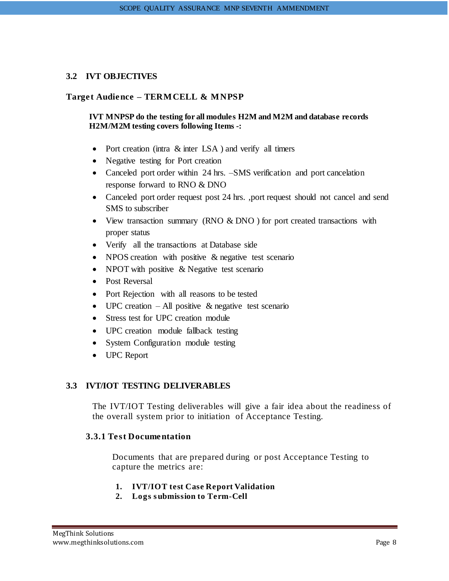#### <span id="page-7-0"></span>**3.2 IVT OBJECTIVES**

#### **Target Audience – TERMCELL & MNPSP**

#### **IVT MNPSP do the testing for all modules H2M and M2M and database records H2M/M2M testing covers following Items -:**

- Port creation (intra & inter LSA) and verify all timers
- Negative testing for Port creation
- Canceled port order within 24 hrs. –SMS verification and port cancelation response forward to RNO & DNO
- Canceled port order request post 24 hrs. ,port request should not cancel and send SMS to subscriber
- View transaction summary (RNO  $& DNO$  ) for port created transactions with proper status
- Verify all the transactions at Database side
- NPOS creation with positive & negative test scenario
- NPOT with positive & Negative test scenario
- Post Reversal
- Port Rejection with all reasons to be tested
- UPC creation All positive  $\&$  negative test scenario
- Stress test for UPC creation module
- UPC creation module fallback testing
- System Configuration module testing
- UPC Report

#### <span id="page-7-1"></span>**3.3 IVT/IOT TESTING DELIVERABLES**

The IVT/IOT Testing deliverables will give a fair idea about the readiness of the overall system prior to initiation of Acceptance Testing.

#### **3.3.1 Test Documentation**

Documents that are prepared during or post Acceptance Testing to capture the metrics are:

- **1. IVT/IOT test Case Report Validation**
- **2. Logs s ubmission to Term-Cell**